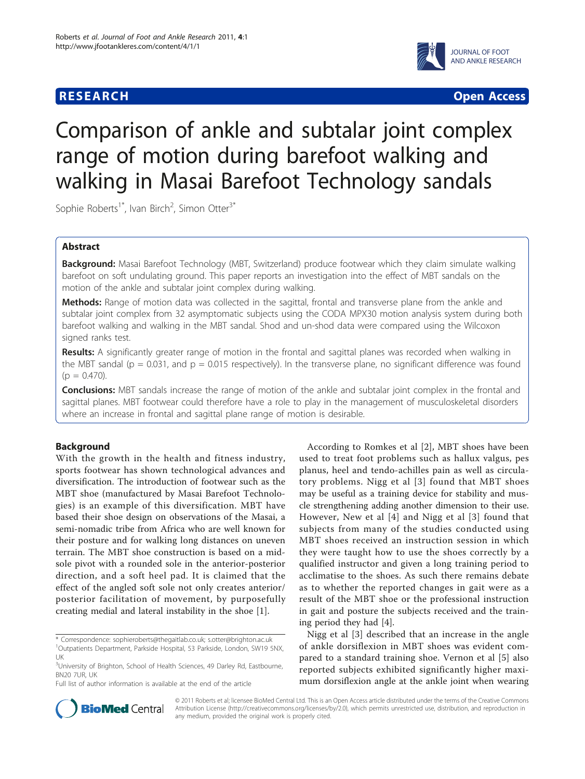

**RESEARCH CONSTRUCTION CONSTRUCTS** 

# Comparison of ankle and subtalar joint complex range of motion during barefoot walking and walking in Masai Barefoot Technology sandals

Sophie Roberts<sup>1\*</sup>, Ivan Birch<sup>2</sup>, Simon Otter<sup>3\*</sup>

# Abstract

Background: Masai Barefoot Technology (MBT, Switzerland) produce footwear which they claim simulate walking barefoot on soft undulating ground. This paper reports an investigation into the effect of MBT sandals on the motion of the ankle and subtalar joint complex during walking.

Methods: Range of motion data was collected in the sagittal, frontal and transverse plane from the ankle and subtalar joint complex from 32 asymptomatic subjects using the CODA MPX30 motion analysis system during both barefoot walking and walking in the MBT sandal. Shod and un-shod data were compared using the Wilcoxon signed ranks test.

Results: A significantly greater range of motion in the frontal and sagittal planes was recorded when walking in the MBT sandal ( $p = 0.031$ , and  $p = 0.015$  respectively). In the transverse plane, no significant difference was found  $(p = 0.470)$ .

**Conclusions:** MBT sandals increase the range of motion of the ankle and subtalar joint complex in the frontal and sagittal planes. MBT footwear could therefore have a role to play in the management of musculoskeletal disorders where an increase in frontal and sagittal plane range of motion is desirable.

# Background

With the growth in the health and fitness industry, sports footwear has shown technological advances and diversification. The introduction of footwear such as the MBT shoe (manufactured by Masai Barefoot Technologies) is an example of this diversification. MBT have based their shoe design on observations of the Masai, a semi-nomadic tribe from Africa who are well known for their posture and for walking long distances on uneven terrain. The MBT shoe construction is based on a midsole pivot with a rounded sole in the anterior-posterior direction, and a soft heel pad. It is claimed that the effect of the angled soft sole not only creates anterior/ posterior facilitation of movement, by purposefully creating medial and lateral instability in the shoe [\[1](#page-3-0)].

Full list of author information is available at the end of the article

According to Romkes et al [[2\]](#page-3-0), MBT shoes have been used to treat foot problems such as hallux valgus, pes planus, heel and tendo-achilles pain as well as circulatory problems. Nigg et al [[3](#page-3-0)] found that MBT shoes may be useful as a training device for stability and muscle strengthening adding another dimension to their use. However, New et al [[4\]](#page-3-0) and Nigg et al [[3\]](#page-3-0) found that subjects from many of the studies conducted using MBT shoes received an instruction session in which they were taught how to use the shoes correctly by a qualified instructor and given a long training period to acclimatise to the shoes. As such there remains debate as to whether the reported changes in gait were as a result of the MBT shoe or the professional instruction in gait and posture the subjects received and the training period they had [[4](#page-3-0)].

Nigg et al [\[3\]](#page-3-0) described that an increase in the angle of ankle dorsiflexion in MBT shoes was evident compared to a standard training shoe. Vernon et al [[5\]](#page-3-0) also reported subjects exhibited significantly higher maximum dorsiflexion angle at the ankle joint when wearing



© 2011 Roberts et al; licensee BioMed Central Ltd. This is an Open Access article distributed under the terms of the Creative Commons Attribution License [\(http://creativecommons.org/licenses/by/2.0](http://creativecommons.org/licenses/by/2.0)), which permits unrestricted use, distribution, and reproduction in any medium, provided the original work is properly cited.

<sup>\*</sup> Correspondence: [sophieroberts@thegaitlab.co.uk;](mailto:sophieroberts@thegaitlab.co.uk) [s.otter@brighton.ac.uk](mailto:s.otter@brighton.ac.uk) <sup>1</sup>Outpatients Department, Parkside Hospital, 53 Parkside, London, SW19 5NX, UK

<sup>&</sup>lt;sup>3</sup>University of Brighton, School of Health Sciences, 49 Darley Rd, Eastbourne, BN20 7UR, UK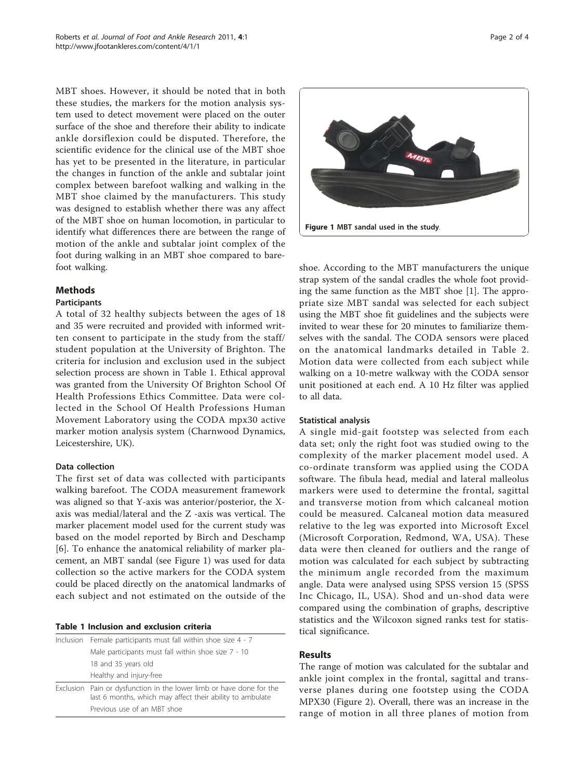MBT shoes. However, it should be noted that in both these studies, the markers for the motion analysis system used to detect movement were placed on the outer surface of the shoe and therefore their ability to indicate ankle dorsiflexion could be disputed. Therefore, the scientific evidence for the clinical use of the MBT shoe has yet to be presented in the literature, in particular the changes in function of the ankle and subtalar joint complex between barefoot walking and walking in the MBT shoe claimed by the manufacturers. This study was designed to establish whether there was any affect of the MBT shoe on human locomotion, in particular to identify what differences there are between the range of motion of the ankle and subtalar joint complex of the foot during walking in an MBT shoe compared to barefoot walking.

# Methods

## Participants

A total of 32 healthy subjects between the ages of 18 and 35 were recruited and provided with informed written consent to participate in the study from the staff/ student population at the University of Brighton. The criteria for inclusion and exclusion used in the subject selection process are shown in Table 1. Ethical approval was granted from the University Of Brighton School Of Health Professions Ethics Committee. Data were collected in the School Of Health Professions Human Movement Laboratory using the CODA mpx30 active marker motion analysis system (Charnwood Dynamics, Leicestershire, UK).

#### Data collection

The first set of data was collected with participants walking barefoot. The CODA measurement framework was aligned so that Y-axis was anterior/posterior, the Xaxis was medial/lateral and the Z -axis was vertical. The marker placement model used for the current study was based on the model reported by Birch and Deschamp [[6\]](#page-3-0). To enhance the anatomical reliability of marker placement, an MBT sandal (see Figure 1) was used for data collection so the active markers for the CODA system could be placed directly on the anatomical landmarks of each subject and not estimated on the outside of the

#### Table 1 Inclusion and exclusion criteria

| Inclusion Female participants must fall within shoe size 4 - 7                                                                    |  |  |  |  |
|-----------------------------------------------------------------------------------------------------------------------------------|--|--|--|--|
| Male participants must fall within shoe size 7 - 10                                                                               |  |  |  |  |
| 18 and 35 years old                                                                                                               |  |  |  |  |
| Healthy and injury-free                                                                                                           |  |  |  |  |
| Exclusion Pain or dysfunction in the lower limb or have done for the<br>last 6 months, which may affect their ability to ambulate |  |  |  |  |
| Previous use of an MBT shoe                                                                                                       |  |  |  |  |





shoe. According to the MBT manufacturers the unique strap system of the sandal cradles the whole foot providing the same function as the MBT shoe [[1\]](#page-3-0). The appropriate size MBT sandal was selected for each subject using the MBT shoe fit guidelines and the subjects were invited to wear these for 20 minutes to familiarize themselves with the sandal. The CODA sensors were placed on the anatomical landmarks detailed in Table [2](#page-2-0). Motion data were collected from each subject while walking on a 10-metre walkway with the CODA sensor unit positioned at each end. A 10 Hz filter was applied to all data.

#### Statistical analysis

A single mid-gait footstep was selected from each data set; only the right foot was studied owing to the complexity of the marker placement model used. A co-ordinate transform was applied using the CODA software. The fibula head, medial and lateral malleolus markers were used to determine the frontal, sagittal and transverse motion from which calcaneal motion could be measured. Calcaneal motion data measured relative to the leg was exported into Microsoft Excel (Microsoft Corporation, Redmond, WA, USA). These data were then cleaned for outliers and the range of motion was calculated for each subject by subtracting the minimum angle recorded from the maximum angle. Data were analysed using SPSS version 15 (SPSS Inc Chicago, IL, USA). Shod and un-shod data were compared using the combination of graphs, descriptive statistics and the Wilcoxon signed ranks test for statistical significance.

# Results

The range of motion was calculated for the subtalar and ankle joint complex in the frontal, sagittal and transverse planes during one footstep using the CODA MPX30 (Figure [2\)](#page-2-0). Overall, there was an increase in the range of motion in all three planes of motion from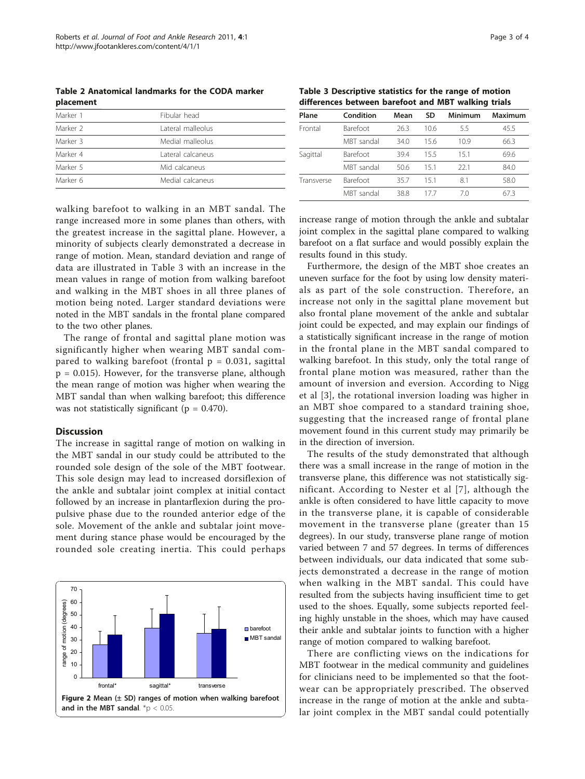<span id="page-2-0"></span>Table 2 Anatomical landmarks for the CODA marker placement

| Marker 1            | Fibular head      |  |
|---------------------|-------------------|--|
| Marker <sub>2</sub> | Lateral malleolus |  |
| Marker 3            | Medial malleolus  |  |
| Marker 4            | Lateral calcaneus |  |
| Marker 5            | Mid calcaneus     |  |
| Marker 6            | Medial calcaneus  |  |
|                     |                   |  |

walking barefoot to walking in an MBT sandal. The range increased more in some planes than others, with the greatest increase in the sagittal plane. However, a minority of subjects clearly demonstrated a decrease in range of motion. Mean, standard deviation and range of data are illustrated in Table 3 with an increase in the mean values in range of motion from walking barefoot and walking in the MBT shoes in all three planes of motion being noted. Larger standard deviations were noted in the MBT sandals in the frontal plane compared to the two other planes.

The range of frontal and sagittal plane motion was significantly higher when wearing MBT sandal compared to walking barefoot (frontal  $p = 0.031$ , sagittal  $p = 0.015$ ). However, for the transverse plane, although the mean range of motion was higher when wearing the MBT sandal than when walking barefoot; this difference was not statistically significant ( $p = 0.470$ ).

#### **Discussion**

The increase in sagittal range of motion on walking in the MBT sandal in our study could be attributed to the rounded sole design of the sole of the MBT footwear. This sole design may lead to increased dorsiflexion of the ankle and subtalar joint complex at initial contact followed by an increase in plantarflexion during the propulsive phase due to the rounded anterior edge of the sole. Movement of the ankle and subtalar joint movement during stance phase would be encouraged by the rounded sole creating inertia. This could perhaps



Table 3 Descriptive statistics for the range of motion differences between barefoot and MBT walking trials

| Plane      | Condition  | Mean | <b>SD</b> | Minimum | Maximum |  |
|------------|------------|------|-----------|---------|---------|--|
| Frontal    | Barefoot   | 26.3 | 10.6      | 5.5     | 45.5    |  |
|            | MBT sandal | 34.0 | 15.6      | 10.9    | 66.3    |  |
| Sagittal   | Barefoot   | 39.4 | 155       | 15.1    | 69.6    |  |
|            | MBT sandal | 50.6 | 151       | 22.1    | 84.0    |  |
| Transverse | Barefoot   | 35.7 | 151       | 8.1     | 58.0    |  |
|            | MBT sandal | 38.8 | 177       | 70      | 67.3    |  |

increase range of motion through the ankle and subtalar joint complex in the sagittal plane compared to walking barefoot on a flat surface and would possibly explain the results found in this study.

Furthermore, the design of the MBT shoe creates an uneven surface for the foot by using low density materials as part of the sole construction. Therefore, an increase not only in the sagittal plane movement but also frontal plane movement of the ankle and subtalar joint could be expected, and may explain our findings of a statistically significant increase in the range of motion in the frontal plane in the MBT sandal compared to walking barefoot. In this study, only the total range of frontal plane motion was measured, rather than the amount of inversion and eversion. According to Nigg et al [[3\]](#page-3-0), the rotational inversion loading was higher in an MBT shoe compared to a standard training shoe, suggesting that the increased range of frontal plane movement found in this current study may primarily be in the direction of inversion.

The results of the study demonstrated that although there was a small increase in the range of motion in the transverse plane, this difference was not statistically significant. According to Nester et al [[7](#page-3-0)], although the ankle is often considered to have little capacity to move in the transverse plane, it is capable of considerable movement in the transverse plane (greater than 15 degrees). In our study, transverse plane range of motion varied between 7 and 57 degrees. In terms of differences between individuals, our data indicated that some subjects demonstrated a decrease in the range of motion when walking in the MBT sandal. This could have resulted from the subjects having insufficient time to get used to the shoes. Equally, some subjects reported feeling highly unstable in the shoes, which may have caused their ankle and subtalar joints to function with a higher range of motion compared to walking barefoot.

There are conflicting views on the indications for MBT footwear in the medical community and guidelines for clinicians need to be implemented so that the footwear can be appropriately prescribed. The observed increase in the range of motion at the ankle and subtalar joint complex in the MBT sandal could potentially